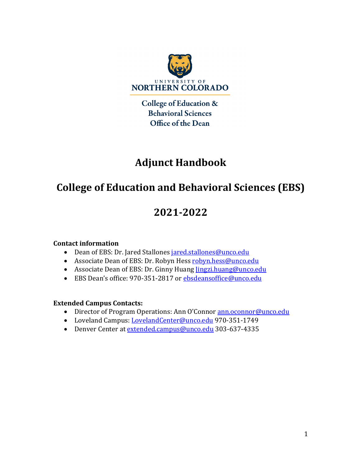

College of Education & **Behavioral Sciences** Office of the Dean

# **Adjunct Handbook**

# **College of Education and Behavioral Sciences (EBS)**

# **2021-2022**

#### **Contact information**

- Dean of EBS: Dr. Jared Stallones jared.stallones@unco.edu
- Associate Dean of EBS: Dr. Robyn Hess robyn.hess@unco.edu
- Associate Dean of EBS: Dr. Ginny Huang *Jingzi.huang@unco.edu*
- EBS Dean's office: 970-351-2817 or ebsdeansoffice@unco.edu

#### **Extended Campus Contacts:**

- Director of Program Operations: Ann O'Connor ann.oconnor@unco.edu
- Loveland Campus: LovelandCenter@unco.edu 970-351-1749
- Denver Center at extended.campus@unco.edu 303-637-4335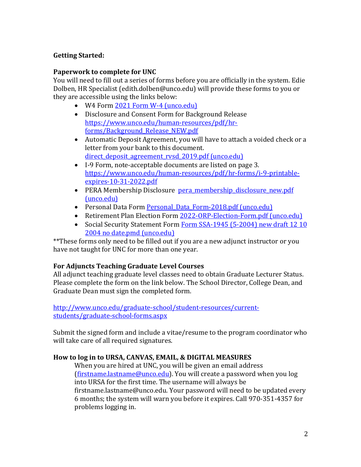#### **Getting Started:**

#### **Paperwork to complete for UNC**

You will need to fill out a series of forms before you are officially in the system. Edie Dolben, HR Specialist (edith.dolben@unco.edu) will provide these forms to you or they are accessible using the links below:

- W4 Form 2021 Form W-4 (unco.edu)
- Disclosure and Consent Form for Background Release https://www.unco.edu/human-resources/pdf/hrforms/Background\_Release\_NEW.pdf
- Automatic Deposit Agreement, you will have to attach a voided check or a letter from your bank to this document. direct deposit agreement rvsd 2019.pdf (unco.edu)
- I-9 Form, note-acceptable documents are listed on page 3. https://www.unco.edu/human-resources/pdf/hr-forms/i-9-printableexpires-10-31-2022.pdf
- PERA Membership Disclosure pera membership disclosure new.pdf (unco.edu)
- Personal Data Form Personal Data Form-2018.pdf (unco.edu)
- Retirement Plan Election Form 2022-ORP-Election-Form.pdf (unco.edu)
- Social Security Statement Form Form SSA-1945 (5-2004) new draft 12 10 2004 no date.pmd (unco.edu)

\*\*These forms only need to be filled out if you are a new adjunct instructor or you have not taught for UNC for more than one year.

#### **For Adjuncts Teaching Graduate Level Courses**

All adjunct teaching graduate level classes need to obtain Graduate Lecturer Status. Please complete the form on the link below. The School Director, College Dean, and Graduate Dean must sign the completed form.

http://www.unco.edu/graduate-school/student-resources/currentstudents/graduate-school-forms.aspx

Submit the signed form and include a vitae/resume to the program coordinator who will take care of all required signatures.

#### How to log in to URSA, CANVAS, EMAIL, & DIGITAL MEASURES

When you are hired at UNC, you will be given an email address (firstname.lastname@unco.edu). You will create a password when you log into URSA for the first time. The username will always be firstname.lastname@unco.edu. Your password will need to be updated every 6 months; the system will warn you before it expires. Call 970-351-4357 for problems logging in.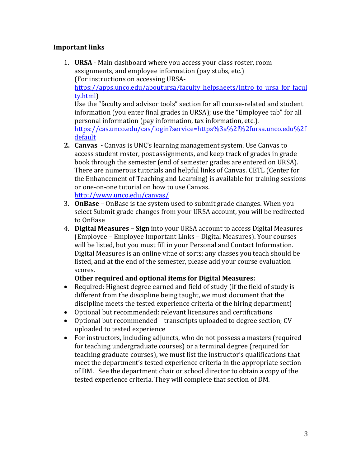#### **Important links**

- 1. **URSA** Main dashboard where you access your class roster, room assignments, and employee information (pay stubs, etc.) (For instructions on accessing URSAhttps://apps.unco.edu/aboutursa/faculty\_helpsheets/intro\_to\_ursa\_for\_facul ty.html) Use the "faculty and advisor tools" section for all course-related and student information (you enter final grades in URSA); use the "Employee tab" for all personal information (pay information, tax information, etc.). https://cas.unco.edu/cas/login?service=https%3a%2f%2fursa.unco.edu%2f default **2. Canvas** - Canvas is UNC's learning management system. Use Canvas to
- access student roster, post assignments, and keep track of grades in grade book through the semester (end of semester grades are entered on URSA). There are numerous tutorials and helpful links of Canvas. CETL (Center for the Enhancement of Teaching and Learning) is available for training sessions or one-on-one tutorial on how to use Canvas. http://www.unco.edu/canvas/
- 3. **OnBase** OnBase is the system used to submit grade changes. When you select Submit grade changes from your URSA account, you will be redirected to OnBase
- 4. **Digital Measures Sign** into your URSA account to access Digital Measures (Employee - Employee Important Links - Digital Measures). Your courses will be listed, but you must fill in your Personal and Contact Information. Digital Measures is an online vitae of sorts; any classes you teach should be listed, and at the end of the semester, please add your course evaluation scores.

#### **Other required and optional items for Digital Measures:**

- Required: Highest degree earned and field of study (if the field of study is different from the discipline being taught, we must document that the discipline meets the tested experience criteria of the hiring department)
- Optional but recommended: relevant licensures and certifications
- Optional but recommended transcripts uploaded to degree section; CV uploaded to tested experience
- For instructors, including adjuncts, who do not possess a masters (required for teaching undergraduate courses) or a terminal degree (required for teaching graduate courses), we must list the instructor's qualifications that meet the department's tested experience criteria in the appropriate section of DM. See the department chair or school director to obtain a copy of the tested experience criteria. They will complete that section of DM.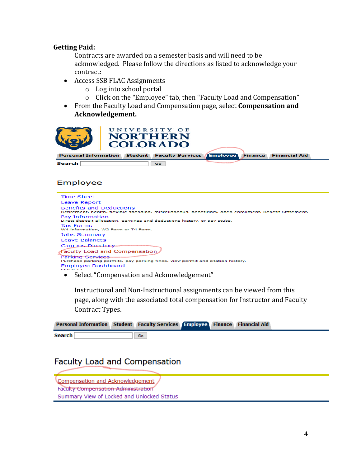#### **Getting Paid:**

Contracts are awarded on a semester basis and will need to be acknowledged. Please follow the directions as listed to acknowledge your contract:

- Access SSB FLAC Assignments
	- o Log into school portal
	- $\circ$  Click on the "Employee" tab, then "Faculty Load and Compensation"
- From the Faculty Load and Compensation page, select **Compensation and Acknowledgement.**

|        | UNIVERSITY OF<br><b>NORTHERN</b><br><b>COLORADO</b>                          |  |  |
|--------|------------------------------------------------------------------------------|--|--|
|        | Personal Information Student Faculty Services Employee Finance Financial Aid |  |  |
| Search | Go.                                                                          |  |  |

#### Employee

| Time Sheet                                                                                                                               |
|------------------------------------------------------------------------------------------------------------------------------------------|
| Leave Report                                                                                                                             |
| <b>Benefits and Deductions</b><br>Retirement, health, flexible spending, miscellaneous, beneficiary, open enrollment, Benefit Statement. |
| Pay Information<br>Direct deposit allocation, earnings and deductions history, or pay stubs.                                             |
| <b>Tax Forms</b><br>W4 information, W2 Form or T4 Form.                                                                                  |
| <b>Jobs Summary</b>                                                                                                                      |
| Leave Balances                                                                                                                           |
| <b>Campus Directory</b>                                                                                                                  |
| Faculty Load and Compensation                                                                                                            |
| <b>Parking Services</b>                                                                                                                  |
| Purchase parking permits, pay parking fines, view permit and citation history.                                                           |
| <b>Employee Dashboard</b><br>$CCD = 12$                                                                                                  |
|                                                                                                                                          |

• Select "Compensation and Acknowledgement"

Instructional and Non-Instructional assignments can be viewed from this page, along with the associated total compensation for Instructor and Faculty Contract Types.

|               | Personal Information Student Faculty Services Employee Finance Financial Aid |  |  |  |
|---------------|------------------------------------------------------------------------------|--|--|--|
| <b>Search</b> | Go                                                                           |  |  |  |

# Faculty Load and Compensation

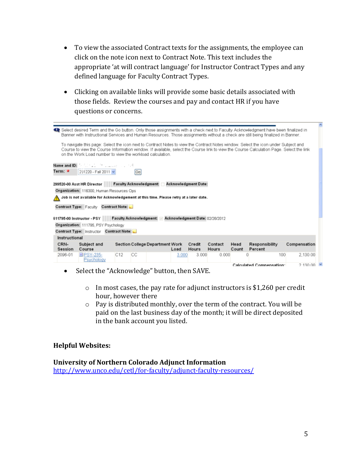- To view the associated Contract texts for the assignments, the employee can click on the note icon next to Contract Note. This text includes the appropriate 'at will contract language' for Instructor Contract Types and any defined language for Faculty Contract Types.
- Clicking on available links will provide some basic details associated with those fields. Review the courses and pay and contact HR if you have questions or concerns.

|                                                                                      | Select desired Term and the Go button. Only those assignments with a check next to Faculty Acknowledgment have been finalized in<br>Banner with Instructional Services and Human Resources. Those assignments without a check are still being finalized in Banner.                                                                         |     |      |                                 |       |                 |                         |               |                           |              |                  |
|--------------------------------------------------------------------------------------|--------------------------------------------------------------------------------------------------------------------------------------------------------------------------------------------------------------------------------------------------------------------------------------------------------------------------------------------|-----|------|---------------------------------|-------|-----------------|-------------------------|---------------|---------------------------|--------------|------------------|
|                                                                                      | To navigate this page: Select the icon next to Contract Notes to view the Contract Notes window. Select the icon under Subject and<br>Course to view the Course Information window. If available, select the Course link to view the Course Calculation Page. Select the link<br>on the Work Load number to view the workload calculation. |     |      |                                 |       |                 |                         |               |                           |              |                  |
| Term: <del>≭</del>                                                                   | Name and ID: And ID: A Contract of the Manual Contract of<br>201220 - Fall 2011 v                                                                                                                                                                                                                                                          |     | Gol  |                                 |       |                 |                         |               |                           |              |                  |
|                                                                                      | Faculty Acknowledgment:<br>Acknowledgment Date:<br>299520-00 Asst HR Director                                                                                                                                                                                                                                                              |     |      |                                 |       |                 |                         |               |                           |              |                  |
|                                                                                      | Organization: 116300. Human Resources Ops.                                                                                                                                                                                                                                                                                                 |     |      |                                 |       |                 |                         |               |                           |              |                  |
| Job is not available for Acknowledgement at this time. Please retry at a later date. |                                                                                                                                                                                                                                                                                                                                            |     |      |                                 |       |                 |                         |               |                           |              |                  |
| Contract Type: Faculty Contract Note:                                                |                                                                                                                                                                                                                                                                                                                                            |     |      |                                 |       |                 |                         |               |                           |              |                  |
|                                                                                      | Faculty Acknowledgment: Acknowledgment Date: 02/26/2012                                                                                                                                                                                                                                                                                    |     |      |                                 |       |                 |                         |               |                           |              |                  |
|                                                                                      | 611795-00 Instructor - PSY                                                                                                                                                                                                                                                                                                                 |     |      |                                 |       |                 |                         |               |                           |              |                  |
|                                                                                      | Organization: 111795, PSY Psychology                                                                                                                                                                                                                                                                                                       |     |      |                                 |       |                 |                         |               |                           |              |                  |
|                                                                                      | Contract Type: Instructor Contract Note:                                                                                                                                                                                                                                                                                                   |     |      |                                 |       |                 |                         |               |                           |              |                  |
| Instructional                                                                        |                                                                                                                                                                                                                                                                                                                                            |     |      |                                 |       |                 |                         |               |                           |              |                  |
| CRN-<br>Session                                                                      | Subject and<br>Course                                                                                                                                                                                                                                                                                                                      |     |      | Section College Department Work | Load  | Credit<br>Hours | Contact<br><b>Hours</b> | Head<br>Count | Responsibility<br>Percent | Compensation |                  |
| 2096-01                                                                              | DPSY-235-<br>Psychology                                                                                                                                                                                                                                                                                                                    | C12 | ICC. |                                 | 3.000 | 3 000           | 0.000                   |               | 100                       | 2,130.00     |                  |
|                                                                                      |                                                                                                                                                                                                                                                                                                                                            |     |      |                                 |       |                 |                         |               | Calculated Compensation:  |              | $2.13000 \times$ |

- Select the "Acknowledge" button, then SAVE.
	- $\circ$  In most cases, the pay rate for adjunct instructors is \$1,260 per credit hour, however there
	- $\circ$  Pay is distributed monthly, over the term of the contract. You will be paid on the last business day of the month; it will be direct deposited in the bank account you listed.

#### **Helpful Websites:**

#### **University of Northern Colorado Adjunct Information**

http://www.unco.edu/cetl/for-faculty/adjunct-faculty-resources/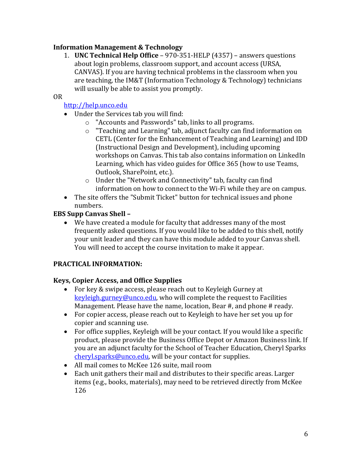# **Information Management & Technology**

1. **UNC Technical Help Office** – 970-351-HELP (4357) – answers questions about login problems, classroom support, and account access (URSA, CANVAS). If you are having technical problems in the classroom when you are teaching, the IM&T (Information Technology & Technology) technicians will usually be able to assist you promptly.

#### OR

### http://help.unco.edu

- Under the Services tab you will find:
	- $\circ$  "Accounts and Passwords" tab, links to all programs.
	- o "Teaching and Learning" tab, adjunct faculty can find information on CETL (Center for the Enhancement of Teaching and Learning) and IDD (Instructional Design and Development), including upcoming workshops on Canvas. This tab also contains information on LinkedIn Learning, which has video guides for Office 365 (how to use Teams, Outlook, SharePoint, etc.).
	- o Under the "Network and Connectivity" tab, faculty can find information on how to connect to the Wi-Fi while they are on campus.
- The site offers the "Submit Ticket" button for technical issues and phone numbers.

#### **EBS Supp Canvas Shell -**

• We have created a module for faculty that addresses many of the most frequently asked questions. If you would like to be added to this shell, notify your unit leader and they can have this module added to your Canvas shell. You will need to accept the course invitation to make it appear.

#### **PRACTICAL INFORMATION:**

#### **Keys, Copier Access, and Office Supplies**

- For key & swipe access, please reach out to Keyleigh Gurney at keyleigh.gurney@unco.edu, who will complete the request to Facilities Management. Please have the name, location, Bear  $#$ , and phone  $#$  ready.
- For copier access, please reach out to Keyleigh to have her set you up for copier and scanning use.
- For office supplies, Keyleigh will be your contact. If you would like a specific product, please provide the Business Office Depot or Amazon Business link. If you are an adjunct faculty for the School of Teacher Education, Cheryl Sparks  $cheryl<sub>sparks@unco.edu</sub>$  will be your contact for supplies.
- All mail comes to McKee 126 suite, mail room
- Each unit gathers their mail and distributes to their specific areas. Larger items (e.g., books, materials), may need to be retrieved directly from McKee 126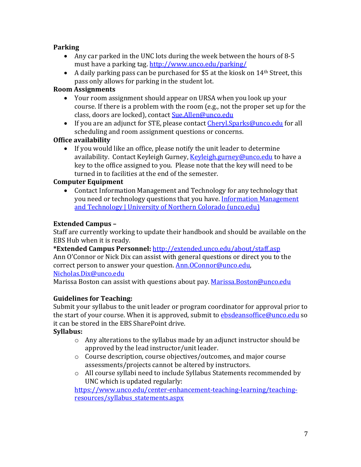#### **Parking**

- Any car parked in the UNC lots during the week between the hours of 8-5 must have a parking tag. http://www.unco.edu/parking/
- A daily parking pass can be purchased for \$5 at the kiosk on  $14<sup>th</sup>$  Street, this pass only allows for parking in the student lot.

### **Room Assignments**

- Your room assignment should appear on URSA when you look up your course. If there is a problem with the room (e.g., not the proper set up for the class, doors are locked), contact Sue.Allen@unco.edu
- If you are an adjunct for STE, please contact Cheryl.Sparks@unco.edu for all scheduling and room assignment questions or concerns.

# **Office availability**

• If you would like an office, please notify the unit leader to determine availability. Contact Keyleigh Gurney, Keyleigh.gurney@unco.edu to have a key to the office assigned to you. Please note that the key will need to be turned in to facilities at the end of the semester.

#### **Computer Equipment**

• Contact Information Management and Technology for any technology that you need or technology questions that you have. Information Management and Technology | University of Northern Colorado (unco.edu)

#### **Extended Campus -**

Staff are currently working to update their handbook and should be available on the EBS Hub when it is ready.

**\*Extended Campus Personnel:** http://extended.unco.edu/about/staff.asp Ann O'Connor or Nick Dix can assist with general questions or direct you to the correct person to answer your question. Ann.OConnor@unco.edu,

#### Nicholas.Dix@unco.edu

Marissa Boston can assist with questions about pay. Marissa.Boston@unco.edu

# **Guidelines for Teaching:**

Submit your syllabus to the unit leader or program coordinator for approval prior to the start of your course. When it is approved, submit to **ebsdeansoffice@unco.edu** so it can be stored in the EBS SharePoint drive.

#### **Syllabus:**

- $\circ$  Any alterations to the syllabus made by an adjunct instructor should be approved by the lead instructor/unit leader.
- $\circ$  Course description, course objectives/outcomes, and major course assessments/projects cannot be altered by instructors.
- $\circ$  All course syllabi need to include Syllabus Statements recommended by UNC which is updated regularly:

https://www.unco.edu/center-enhancement-teaching-learning/teachingresources/syllabus\_statements.aspx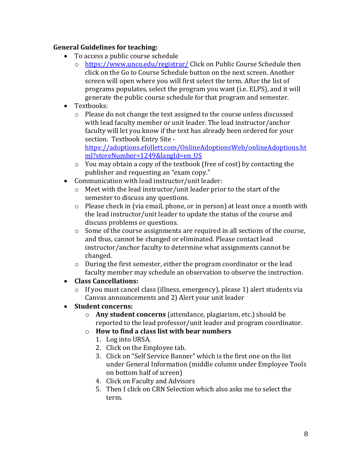#### **General Guidelines for teaching:**

- To access a public course schedule
	- o https://www.unco.edu/registrar/ Click on Public Course Schedule then click on the Go to Course Schedule button on the next screen. Another screen will open where you will first select the term. After the list of programs populates, select the program you want (i.e. ELPS), and it will generate the public course schedule for that program and semester.
- Textbooks:
	- $\circ$  Please do not change the text assigned to the course unless discussed with lead faculty member or unit leader. The lead instructor/anchor faculty will let you know if the text has already been ordered for your section. Textbook Entry Site -

https://adoptions.efollett.com/OnlineAdoptionsWeb/onlineAdoptions.ht ml?storeNumber=1249&langId=en\_US

- $\circ$  You may obtain a copy of the textbook (free of cost) by contacting the publisher and requesting an "exam copy."
- Communication with lead instructor/unit leader:
	- $\circ$  Meet with the lead instructor/unit leader prior to the start of the semester to discuss any questions.
	- $\circ$  Please check in (via email, phone, or in person) at least once a month with the lead instructor/unit leader to update the status of the course and discuss problems or questions.
	- $\circ$  Some of the course assignments are required in all sections of the course, and thus, cannot be changed or eliminated. Please contact lead instructor/anchor faculty to determine what assignments cannot be changed.
	- $\circ$  During the first semester, either the program coordinator or the lead faculty member may schedule an observation to observe the instruction.
- **Class Cancellations:**
	- $\circ$  If you must cancel class (illness, emergency), please 1) alert students via Canvas announcements and 2) Alert your unit leader
- **Student concerns:** 
	- o **Any student concerns** (attendance, plagiarism, etc.) should be reported to the lead professor/unit leader and program coordinator.
	- o **How to find a class list with bear numbers**
		- 1. Log into URSA.
		- 2. Click on the Employee tab.
		- 3. Click on "Self Service Banner" which is the first one on the list under General Information (middle column under Employee Tools on bottom half of screen)
		- 4. Click on Faculty and Advisors
		- 5. Then I click on CRN Selection which also asks me to select the term.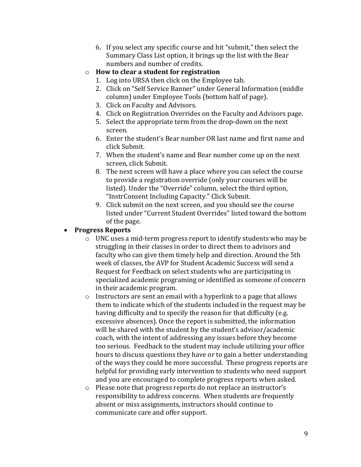- 6. If you select any specific course and hit "submit," then select the Summary Class List option, it brings up the list with the Bear numbers and number of credits.
- o **How to clear a student for registration**
	- 1. Log into URSA then click on the Employee tab.
	- 2. Click on "Self Service Banner" under General Information (middle column) under Employee Tools (bottom half of page).
	- 3. Click on Faculty and Advisors.
	- 4. Click on Registration Overrides on the Faculty and Advisors page.
	- 5. Select the appropriate term from the drop-down on the next screen.
	- 6. Enter the student's Bear number OR last name and first name and click Submit.
	- 7. When the student's name and Bear number come up on the next screen, click Submit.
	- 8. The next screen will have a place where you can select the course to provide a registration override (only your courses will be listed). Under the "Override" column, select the third option, "InstrConsent Including Capacity." Click Submit.
	- 9. Click submit on the next screen, and you should see the course listed under "Current Student Overrides" listed toward the bottom of the page.

# • **Progress Reports**

- $\circ$  UNC uses a mid-term progress report to identify students who may be struggling in their classes in order to direct them to advisors and faculty who can give them timely help and direction. Around the 5th week of classes, the AVP for Student Academic Success will send a Request for Feedback on select students who are participating in specialized academic programing or identified as someone of concern in their academic program.
- $\circ$  Instructors are sent an email with a hyperlink to a page that allows them to indicate which of the students included in the request may be having difficulty and to specify the reason for that difficulty (e.g. excessive absences). Once the report is submitted, the information will be shared with the student by the student's advisor/academic coach, with the intent of addressing any issues before they become too serious. Feedback to the student may include utilizing your office hours to discuss questions they have or to gain a better understanding of the ways they could be more successful. These progress reports are helpful for providing early intervention to students who need support and you are encouraged to complete progress reports when asked.
- o Please note that progress reports do not replace an instructor's responsibility to address concerns. When students are frequently absent or miss assignments, instructors should continue to communicate care and offer support.